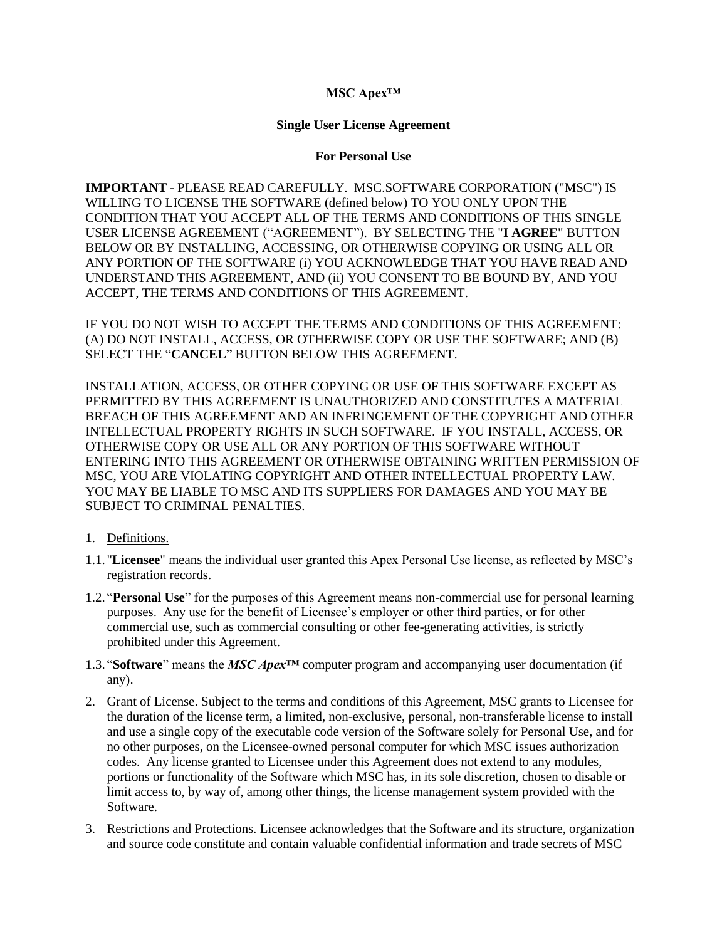## **MSC Apex™**

## **Single User License Agreement**

## **For Personal Use**

**IMPORTANT** - PLEASE READ CAREFULLY. MSC.SOFTWARE CORPORATION ("MSC") IS WILLING TO LICENSE THE SOFTWARE (defined below) TO YOU ONLY UPON THE CONDITION THAT YOU ACCEPT ALL OF THE TERMS AND CONDITIONS OF THIS SINGLE USER LICENSE AGREEMENT ("AGREEMENT"). BY SELECTING THE "**I AGREE**" BUTTON BELOW OR BY INSTALLING, ACCESSING, OR OTHERWISE COPYING OR USING ALL OR ANY PORTION OF THE SOFTWARE (i) YOU ACKNOWLEDGE THAT YOU HAVE READ AND UNDERSTAND THIS AGREEMENT, AND (ii) YOU CONSENT TO BE BOUND BY, AND YOU ACCEPT, THE TERMS AND CONDITIONS OF THIS AGREEMENT.

IF YOU DO NOT WISH TO ACCEPT THE TERMS AND CONDITIONS OF THIS AGREEMENT: (A) DO NOT INSTALL, ACCESS, OR OTHERWISE COPY OR USE THE SOFTWARE; AND (B) SELECT THE "**CANCEL**" BUTTON BELOW THIS AGREEMENT.

INSTALLATION, ACCESS, OR OTHER COPYING OR USE OF THIS SOFTWARE EXCEPT AS PERMITTED BY THIS AGREEMENT IS UNAUTHORIZED AND CONSTITUTES A MATERIAL BREACH OF THIS AGREEMENT AND AN INFRINGEMENT OF THE COPYRIGHT AND OTHER INTELLECTUAL PROPERTY RIGHTS IN SUCH SOFTWARE. IF YOU INSTALL, ACCESS, OR OTHERWISE COPY OR USE ALL OR ANY PORTION OF THIS SOFTWARE WITHOUT ENTERING INTO THIS AGREEMENT OR OTHERWISE OBTAINING WRITTEN PERMISSION OF MSC, YOU ARE VIOLATING COPYRIGHT AND OTHER INTELLECTUAL PROPERTY LAW. YOU MAY BE LIABLE TO MSC AND ITS SUPPLIERS FOR DAMAGES AND YOU MAY BE SUBJECT TO CRIMINAL PENALTIES.

- 1. Definitions.
- 1.1. "**Licensee**" means the individual user granted this Apex Personal Use license, as reflected by MSC's registration records.
- 1.2. "**Personal Use**" for the purposes of this Agreement means non-commercial use for personal learning purposes. Any use for the benefit of Licensee's employer or other third parties, or for other commercial use, such as commercial consulting or other fee-generating activities, is strictly prohibited under this Agreement.
- 1.3. "**Software**" means the *MSC Apex™* computer program and accompanying user documentation (if any).
- 2. Grant of License. Subject to the terms and conditions of this Agreement, MSC grants to Licensee for the duration of the license term, a limited, non-exclusive, personal, non-transferable license to install and use a single copy of the executable code version of the Software solely for Personal Use, and for no other purposes, on the Licensee-owned personal computer for which MSC issues authorization codes. Any license granted to Licensee under this Agreement does not extend to any modules, portions or functionality of the Software which MSC has, in its sole discretion, chosen to disable or limit access to, by way of, among other things, the license management system provided with the Software.
- 3. Restrictions and Protections. Licensee acknowledges that the Software and its structure, organization and source code constitute and contain valuable confidential information and trade secrets of MSC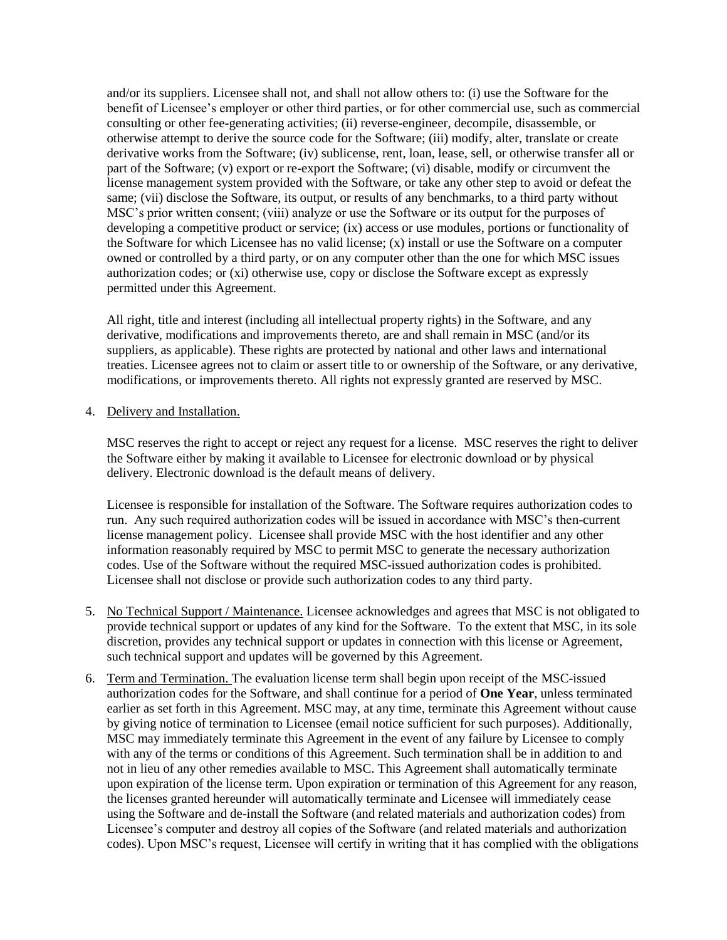and/or its suppliers. Licensee shall not, and shall not allow others to: (i) use the Software for the benefit of Licensee's employer or other third parties, or for other commercial use, such as commercial consulting or other fee-generating activities; (ii) reverse-engineer, decompile, disassemble, or otherwise attempt to derive the source code for the Software; (iii) modify, alter, translate or create derivative works from the Software; (iv) sublicense, rent, loan, lease, sell, or otherwise transfer all or part of the Software; (v) export or re-export the Software; (vi) disable, modify or circumvent the license management system provided with the Software, or take any other step to avoid or defeat the same; (vii) disclose the Software, its output, or results of any benchmarks, to a third party without MSC's prior written consent; (viii) analyze or use the Software or its output for the purposes of developing a competitive product or service; (ix) access or use modules, portions or functionality of the Software for which Licensee has no valid license; (x) install or use the Software on a computer owned or controlled by a third party, or on any computer other than the one for which MSC issues authorization codes; or (xi) otherwise use, copy or disclose the Software except as expressly permitted under this Agreement.

All right, title and interest (including all intellectual property rights) in the Software, and any derivative, modifications and improvements thereto, are and shall remain in MSC (and/or its suppliers, as applicable). These rights are protected by national and other laws and international treaties. Licensee agrees not to claim or assert title to or ownership of the Software, or any derivative, modifications, or improvements thereto. All rights not expressly granted are reserved by MSC.

4. Delivery and Installation.

MSC reserves the right to accept or reject any request for a license. MSC reserves the right to deliver the Software either by making it available to Licensee for electronic download or by physical delivery. Electronic download is the default means of delivery.

Licensee is responsible for installation of the Software. The Software requires authorization codes to run. Any such required authorization codes will be issued in accordance with MSC's then-current license management policy. Licensee shall provide MSC with the host identifier and any other information reasonably required by MSC to permit MSC to generate the necessary authorization codes. Use of the Software without the required MSC-issued authorization codes is prohibited. Licensee shall not disclose or provide such authorization codes to any third party.

- 5. No Technical Support / Maintenance. Licensee acknowledges and agrees that MSC is not obligated to provide technical support or updates of any kind for the Software. To the extent that MSC, in its sole discretion, provides any technical support or updates in connection with this license or Agreement, such technical support and updates will be governed by this Agreement.
- 6. Term and Termination. The evaluation license term shall begin upon receipt of the MSC-issued authorization codes for the Software, and shall continue for a period of **One Year**, unless terminated earlier as set forth in this Agreement. MSC may, at any time, terminate this Agreement without cause by giving notice of termination to Licensee (email notice sufficient for such purposes). Additionally, MSC may immediately terminate this Agreement in the event of any failure by Licensee to comply with any of the terms or conditions of this Agreement. Such termination shall be in addition to and not in lieu of any other remedies available to MSC. This Agreement shall automatically terminate upon expiration of the license term. Upon expiration or termination of this Agreement for any reason, the licenses granted hereunder will automatically terminate and Licensee will immediately cease using the Software and de-install the Software (and related materials and authorization codes) from Licensee's computer and destroy all copies of the Software (and related materials and authorization codes). Upon MSC's request, Licensee will certify in writing that it has complied with the obligations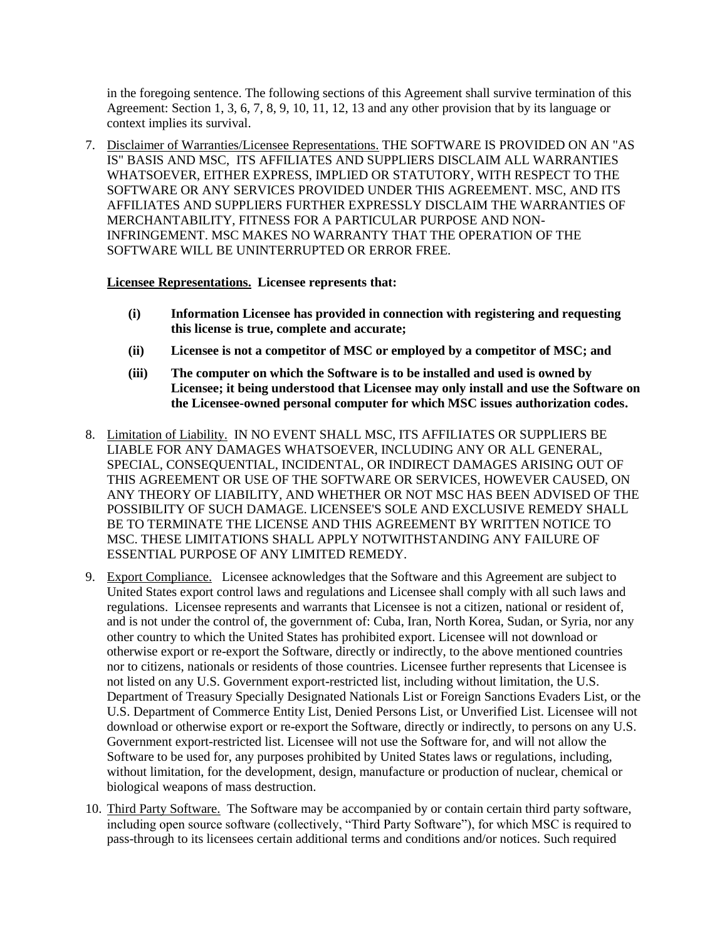in the foregoing sentence. The following sections of this Agreement shall survive termination of this Agreement: Section 1, 3, 6, 7, 8, 9, 10, 11, 12, 13 and any other provision that by its language or context implies its survival.

7. Disclaimer of Warranties/Licensee Representations. THE SOFTWARE IS PROVIDED ON AN "AS IS" BASIS AND MSC, ITS AFFILIATES AND SUPPLIERS DISCLAIM ALL WARRANTIES WHATSOEVER, EITHER EXPRESS, IMPLIED OR STATUTORY, WITH RESPECT TO THE SOFTWARE OR ANY SERVICES PROVIDED UNDER THIS AGREEMENT. MSC, AND ITS AFFILIATES AND SUPPLIERS FURTHER EXPRESSLY DISCLAIM THE WARRANTIES OF MERCHANTABILITY, FITNESS FOR A PARTICULAR PURPOSE AND NON-INFRINGEMENT. MSC MAKES NO WARRANTY THAT THE OPERATION OF THE SOFTWARE WILL BE UNINTERRUPTED OR ERROR FREE.

## **Licensee Representations. Licensee represents that:**

- **(i) Information Licensee has provided in connection with registering and requesting this license is true, complete and accurate;**
- **(ii) Licensee is not a competitor of MSC or employed by a competitor of MSC; and**
- **(iii) The computer on which the Software is to be installed and used is owned by Licensee; it being understood that Licensee may only install and use the Software on the Licensee-owned personal computer for which MSC issues authorization codes.**
- 8. Limitation of Liability. IN NO EVENT SHALL MSC, ITS AFFILIATES OR SUPPLIERS BE LIABLE FOR ANY DAMAGES WHATSOEVER, INCLUDING ANY OR ALL GENERAL, SPECIAL, CONSEQUENTIAL, INCIDENTAL, OR INDIRECT DAMAGES ARISING OUT OF THIS AGREEMENT OR USE OF THE SOFTWARE OR SERVICES, HOWEVER CAUSED, ON ANY THEORY OF LIABILITY, AND WHETHER OR NOT MSC HAS BEEN ADVISED OF THE POSSIBILITY OF SUCH DAMAGE. LICENSEE'S SOLE AND EXCLUSIVE REMEDY SHALL BE TO TERMINATE THE LICENSE AND THIS AGREEMENT BY WRITTEN NOTICE TO MSC. THESE LIMITATIONS SHALL APPLY NOTWITHSTANDING ANY FAILURE OF ESSENTIAL PURPOSE OF ANY LIMITED REMEDY.
- 9. Export Compliance. Licensee acknowledges that the Software and this Agreement are subject to United States export control laws and regulations and Licensee shall comply with all such laws and regulations. Licensee represents and warrants that Licensee is not a citizen, national or resident of, and is not under the control of, the government of: Cuba, Iran, North Korea, Sudan, or Syria, nor any other country to which the United States has prohibited export. Licensee will not download or otherwise export or re-export the Software, directly or indirectly, to the above mentioned countries nor to citizens, nationals or residents of those countries. Licensee further represents that Licensee is not listed on any U.S. Government export-restricted list, including without limitation, the U.S. Department of Treasury Specially Designated Nationals List or Foreign Sanctions Evaders List, or the U.S. Department of Commerce Entity List, Denied Persons List, or Unverified List. Licensee will not download or otherwise export or re-export the Software, directly or indirectly, to persons on any U.S. Government export-restricted list. Licensee will not use the Software for, and will not allow the Software to be used for, any purposes prohibited by United States laws or regulations, including, without limitation, for the development, design, manufacture or production of nuclear, chemical or biological weapons of mass destruction.
- 10. Third Party Software. The Software may be accompanied by or contain certain third party software, including open source software (collectively, "Third Party Software"), for which MSC is required to pass-through to its licensees certain additional terms and conditions and/or notices. Such required